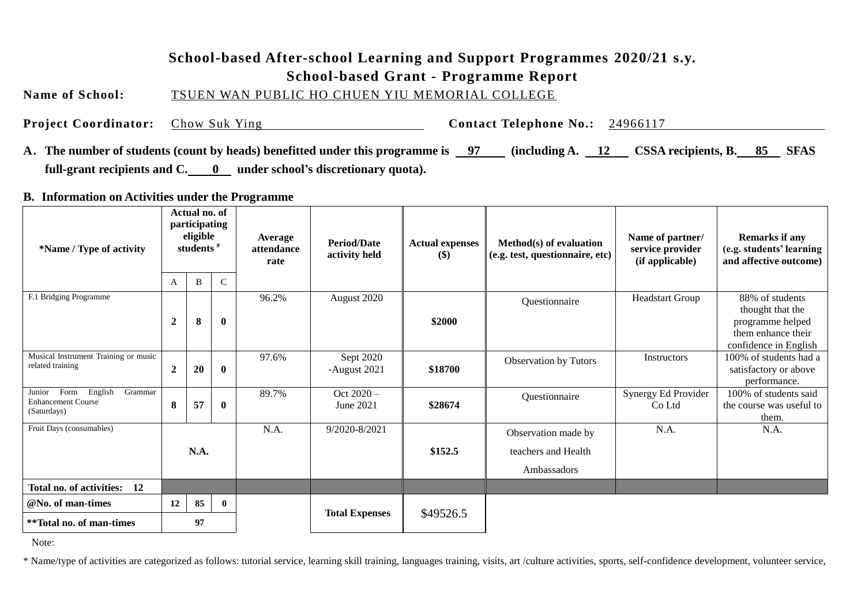# **School-based After-school Learning and Support Programmes 2020/21 s.y.**

**School-based Grant - Programme Report**

**Name of School:** TSUEN WAN PUBLIC HO CHUEN YIU MEMORIAL COLLEGE

**Project Coordinator:** Chow Suk Ying **Contact Telephone No.:** 24966117

**A. The number of students (count by heads) benefitted under this programme is 97 (including A. 12 CSSA recipients, B. 85 SFAS**  full-grant recipients and C. 0 under school's discretionary quota).

**B. Information on Activities under the Programme**

| *Name / Type of activity                                                         | Actual no. of<br>participating<br>eligible<br>students <sup>#</sup><br>B<br>A |    | $\mathcal{C}$ | Average<br>attendance<br>rate | <b>Period/Date</b><br>activity held | <b>Actual expenses</b><br>\$) | Method(s) of evaluation<br>(e.g. test, questionnaire, etc) | Name of partner/<br>service provider<br>(if applicable) | <b>Remarks if any</b><br>(e.g. students' learning<br>and affective outcome)                            |
|----------------------------------------------------------------------------------|-------------------------------------------------------------------------------|----|---------------|-------------------------------|-------------------------------------|-------------------------------|------------------------------------------------------------|---------------------------------------------------------|--------------------------------------------------------------------------------------------------------|
| F.1 Bridging Programme                                                           | $\boldsymbol{2}$                                                              | 8  | $\bf{0}$      | 96.2%                         | August 2020                         | \$2000                        | Questionnaire                                              | <b>Headstart Group</b>                                  | 88% of students<br>thought that the<br>programme helped<br>them enhance their<br>confidence in English |
| Musical Instrument Training or music<br>related training                         | $\boldsymbol{2}$                                                              | 20 | $\bf{0}$      | 97.6%                         | Sept 2020<br>-August 2021           | \$18700                       | <b>Observation by Tutors</b>                               | Instructors                                             | 100% of students had a<br>satisfactory or above<br>performance.                                        |
| Form<br>English<br>Grammar<br>Junior<br><b>Enhancement Course</b><br>(Saturdays) | 8                                                                             | 57 | $\bf{0}$      | 89.7%                         | Oct $2020 -$<br>June 2021           | \$28674                       | Questionnaire                                              | Synergy Ed Provider<br>Co Ltd                           | 100% of students said<br>the course was useful to<br>them.                                             |
| Fruit Days (consumables)                                                         |                                                                               |    |               | N.A.                          | 9/2020-8/2021                       |                               | Observation made by                                        | N.A.                                                    | N.A.                                                                                                   |
|                                                                                  | N.A.                                                                          |    |               |                               |                                     | \$152.5                       | teachers and Health                                        |                                                         |                                                                                                        |
|                                                                                  |                                                                               |    |               |                               |                                     |                               | Ambassadors                                                |                                                         |                                                                                                        |
| Total no. of activities: 12                                                      |                                                                               |    |               |                               |                                     |                               |                                                            |                                                         |                                                                                                        |
| @No. of man-times                                                                | 12                                                                            | 85 | $\mathbf{0}$  |                               | <b>Total Expenses</b>               | \$49526.5                     |                                                            |                                                         |                                                                                                        |
| **Total no. of man-times                                                         |                                                                               | 97 |               |                               |                                     |                               |                                                            |                                                         |                                                                                                        |

Note:

\* Name/type of activities are categorized as follows: tutorial service, learning skill training, languages training, visits, art /culture activities, sports, self-confidence development, volunteer service,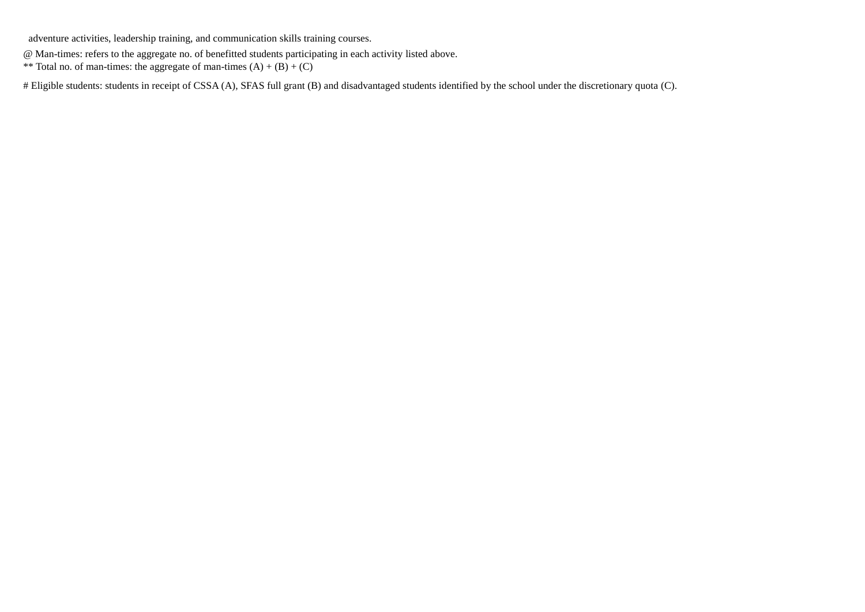adventure activities, leadership training, and communication skills training courses.

@ Man-times: refers to the aggregate no. of benefitted students participating in each activity listed above.

\*\* Total no. of man-times: the aggregate of man-times  $(A) + (B) + (C)$ 

# Eligible students: students in receipt of CSSA (A), SFAS full grant (B) and disadvantaged students identified by the school under the discretionary quota (C).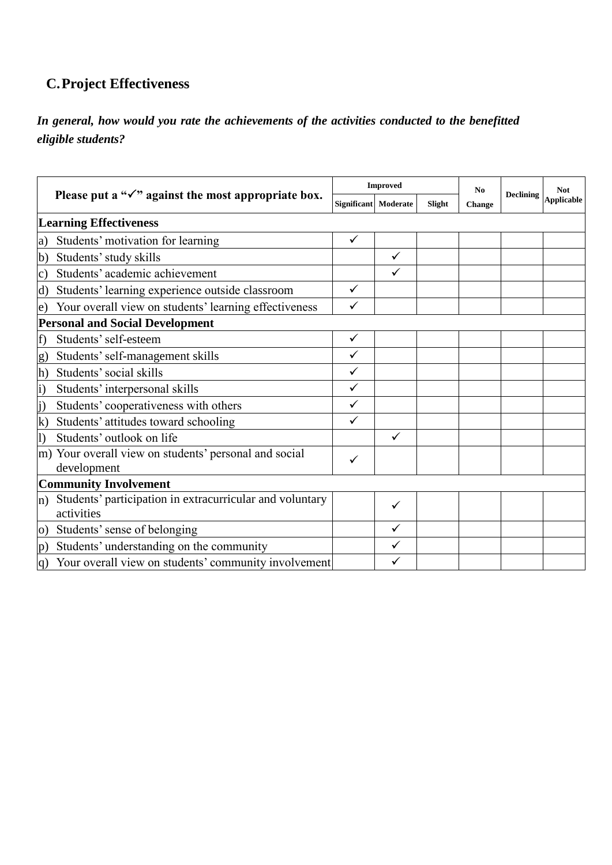# **C.Project Effectiveness**

### *In general, how would you rate the achievements of the activities conducted to the benefitted eligible students?*

|                   |                                                                        |              | <b>Improved</b>      |        | N <sub>0</sub><br><b>Change</b> | <b>Declining</b> | Not<br><b>Applicable</b> |
|-------------------|------------------------------------------------------------------------|--------------|----------------------|--------|---------------------------------|------------------|--------------------------|
|                   | Please put a " $\checkmark$ " against the most appropriate box.        |              | Significant Moderate | Slight |                                 |                  |                          |
|                   | <b>Learning Effectiveness</b>                                          |              |                      |        |                                 |                  |                          |
| a)                | Students' motivation for learning                                      | ✓            |                      |        |                                 |                  |                          |
| b)                | Students' study skills                                                 |              | $\checkmark$         |        |                                 |                  |                          |
| C)                | Students' academic achievement                                         |              | $\checkmark$         |        |                                 |                  |                          |
| d)                | Students' learning experience outside classroom                        | $\checkmark$ |                      |        |                                 |                  |                          |
| e)                | Your overall view on students' learning effectiveness                  | ✓            |                      |        |                                 |                  |                          |
|                   | <b>Personal and Social Development</b>                                 |              |                      |        |                                 |                  |                          |
| f)                | Students' self-esteem                                                  | ✓            |                      |        |                                 |                  |                          |
| $\mathbf{g}$      | Students' self-management skills                                       | ✓            |                      |        |                                 |                  |                          |
| h)                | Students' social skills                                                | ✓            |                      |        |                                 |                  |                          |
| $\vert i)$        | Students' interpersonal skills                                         | ✓            |                      |        |                                 |                  |                          |
| $\vert i \rangle$ | Students' cooperativeness with others                                  | ✓            |                      |        |                                 |                  |                          |
| $\bf k)$          | Students' attitudes toward schooling                                   | ✓            |                      |        |                                 |                  |                          |
| l)                | Students' outlook on life                                              |              | $\checkmark$         |        |                                 |                  |                          |
|                   | m) Your overall view on students' personal and social<br>development   | ✓            |                      |        |                                 |                  |                          |
|                   | <b>Community Involvement</b>                                           |              |                      |        |                                 |                  |                          |
| $\mathbf{n}$ )    | Students' participation in extracurricular and voluntary<br>activities |              | ✓                    |        |                                 |                  |                          |
| $\overline{O}$    | Students' sense of belonging                                           |              | ✓                    |        |                                 |                  |                          |
| p)                | Students' understanding on the community                               |              | ✓                    |        |                                 |                  |                          |
|                   | $ q\rangle$ Your overall view on students' community involvement       |              |                      |        |                                 |                  |                          |